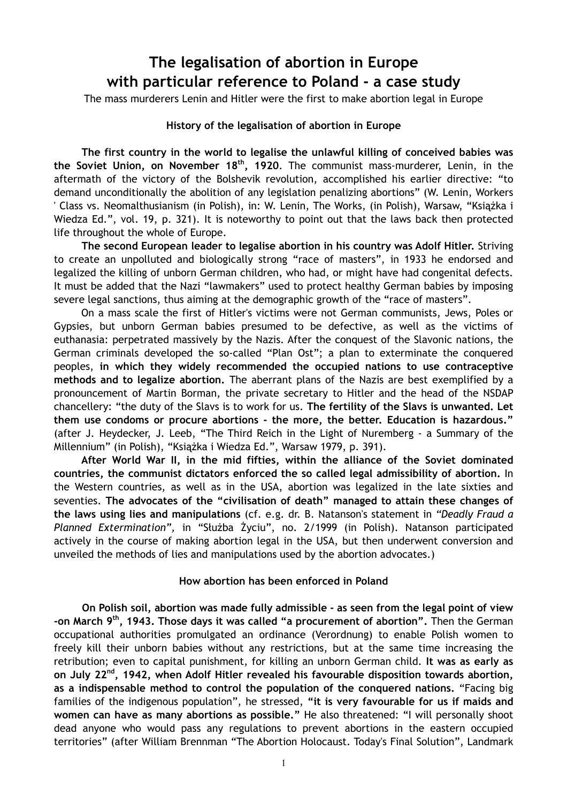## **The legalisation of abortion in Europe with particular reference to Poland - a case study**

The mass murderers Lenin and Hitler were the first to make abortion legal in Europe

## **History of the legalisation of abortion in Europe**

**The first country in the world to legalise the unlawful killing of conceived babies was the Soviet Union, on November 18th, 1920**. The communist mass-murderer, Lenin, in the aftermath of the victory of the Bolshevik revolution, accomplished his earlier directive: "to demand unconditionally the abolition of any legislation penalizing abortions" (W. Lenin, Workers ' Class vs. Neomalthusianism (in Polish), in: W. Lenin, The Works, (in Polish), Warsaw, "Książka i Wiedza Ed.", vol. 19, p. 321). It is noteworthy to point out that the laws back then protected life throughout the whole of Europe.

**The second European leader to legalise abortion in his country was Adolf Hitler.** Striving to create an unpolluted and biologically strong "race of masters", in 1933 he endorsed and legalized the killing of unborn German children, who had, or might have had congenital defects. It must be added that the Nazi "lawmakers" used to protect healthy German babies by imposing severe legal sanctions, thus aiming at the demographic growth of the "race of masters".

On a mass scale the first of Hitler's victims were not German communists, Jews, Poles or Gypsies, but unborn German babies presumed to be defective, as well as the victims of euthanasia: perpetrated massively by the Nazis. After the conquest of the Slavonic nations, the German criminals developed the so-called "Plan Ost"; a plan to exterminate the conquered peoples, **in which they widely recommended the occupied nations to use contraceptive methods and to legalize abortion.** The aberrant plans of the Nazis are best exemplified by a pronouncement of Martin Borman, the private secretary to Hitler and the head of the NSDAP chancellery: "the duty of the Slavs is to work for us. **The fertility of the Slavs is unwanted. Let them use condoms or procure abortions - the more, the better. Education is hazardous."**  (after J. Heydecker, J. Leeb, "The Third Reich in the Light of Nuremberg - a Summary of the Millennium" (in Polish), "Książka i Wiedza Ed.", Warsaw 1979, p. 391).

**After World War II, in the mid fifties, within the alliance of the Soviet dominated countries, the communist dictators enforced the so called legal admissibility of abortion.** In the Western countries, as well as in the USA, abortion was legalized in the late sixties and seventies. **The advocates of the "civilisation of death" managed to attain these changes of the laws using lies and manipulations** (cf. e.g. dr. B. Natanson's statement in *"Deadly Fraud a*  Planned Extermination", in "Służba Życiu", no. 2/1999 (in Polish). Natanson participated actively in the course of making abortion legal in the USA, but then underwent conversion and unveiled the methods of lies and manipulations used by the abortion advocates.)

## **How abortion has been enforced in Poland**

**On Polish soil, abortion was made fully admissible - as seen from the legal point of view -on March 9th, 1943. Those days it was called "a procurement of abortion".** Then the German occupational authorities promulgated an ordinance (Verordnung) to enable Polish women to freely kill their unborn babies without any restrictions, but at the same time increasing the retribution; even to capital punishment, for killing an unborn German child. **It was as early as on July 22nd, 1942, when Adolf Hitler revealed his favourable disposition towards abortion, as a indispensable method to control the population of the conquered nations.** "Facing big families of the indigenous population", he stressed, **"it is very favourable for us if maids and women can have as many abortions as possible."** He also threatened: "I will personally shoot dead anyone who would pass any regulations to prevent abortions in the eastern occupied territories" (after William Brennman "The Abortion Holocaust. Today's Final Solution", Landmark